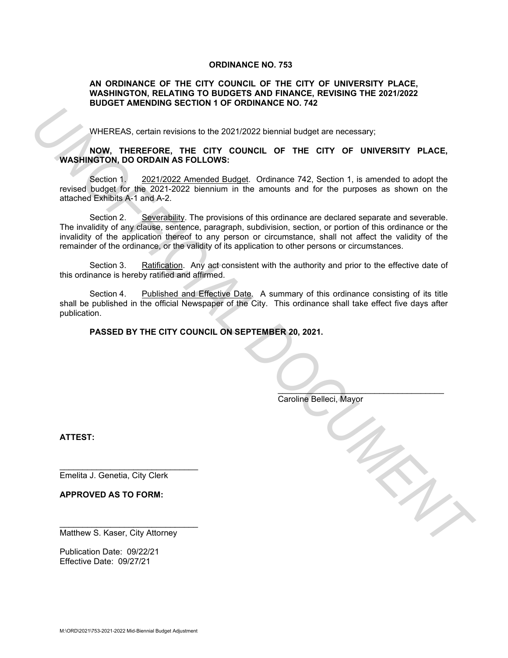#### **ORDINANCE NO. 753**

#### **AN ORDINANCE OF THE CITY COUNCIL OF THE CITY OF UNIVERSITY PLACE, WASHINGTON, RELATING TO BUDGETS AND FINANCE, REVISING THE 2021/2022 BUDGET AMENDING SECTION 1 OF ORDINANCE NO. 742**

WHEREAS, certain revisions to the 2021/2022 biennial budget are necessary;

## **NOW, THEREFORE, THE CITY COUNCIL OF THE CITY OF UNIVERSITY PLACE, WASHINGTON, DO ORDAIN AS FOLLOWS:**

Section 1. 2021/2022 Amended Budget. Ordinance 742, Section 1, is amended to adopt the revised budget for the 2021-2022 biennium in the amounts and for the purposes as shown on the attached Exhibits A-1 and A-2.

Section 2. Severability. The provisions of this ordinance are declared separate and severable. The invalidity of any clause, sentence, paragraph, subdivision, section, or portion of this ordinance or the invalidity of the application thereof to any person or circumstance, shall not affect the validity of the remainder of the ordinance, or the validity of its application to other persons or circumstances. **EXAMPLE REACT CONTROVER INTEREST:**<br>
WARE THE CRITY COUNCIL OF THE CITY OF UNIVERSITY PLACE,<br>
WASHINGTON, DO ORDAIN AS FOLLOWS:<br>
Section 1.2 2021/2022 Discriming the CRITY CF THE CITY OF UNIVERSITY PLACE,<br>
Section 1.2 2021

Section 3. Ratification. Any act consistent with the authority and prior to the effective date of this ordinance is hereby ratified and affirmed.

Section 4. Published and Effective Date. A summary of this ordinance consisting of its title shall be published in the official Newspaper of the City. This ordinance shall take effect five days after publication.

**PASSED BY THE CITY COUNCIL ON SEPTEMBER 20, 2021.**

Caroline Belleci, Mayor

 $\mathcal{L}=\mathcal{L}^{\mathcal{L}}$  , where  $\mathcal{L}^{\mathcal{L}}$  , where  $\mathcal{L}^{\mathcal{L}}$ 

**ATTEST:**

\_\_\_\_\_\_\_\_\_\_\_\_\_\_\_\_\_\_\_\_\_\_\_\_\_\_\_\_\_\_ Emelita J. Genetia, City Clerk

**APPROVED AS TO FORM:**

Matthew S. Kaser, City Attorney

\_\_\_\_\_\_\_\_\_\_\_\_\_\_\_\_\_\_\_\_\_\_\_\_\_\_\_\_\_\_

Publication Date: 09/22/21 Effective Date: 09/27/21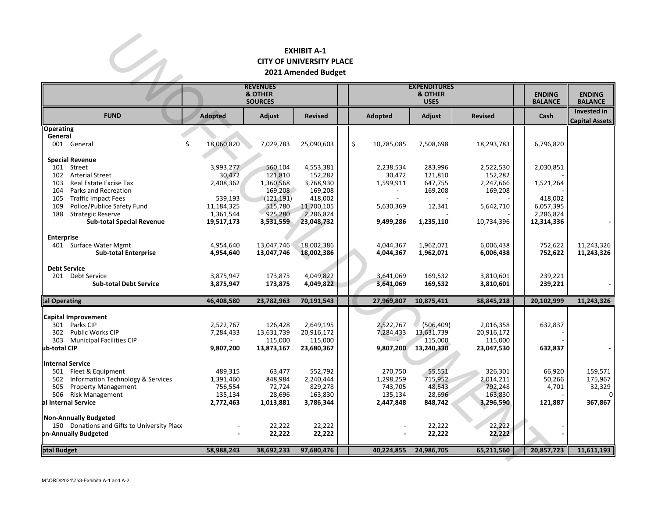## **EXHIBIT A-1 CITY OF UNIVERSITY PLACE 2021 Amended Budget**

| <b>EXHIBIT A-1</b><br><b>CITY OF UNIVERSITY PLACE</b><br>2021 Amended Budget                                                                                        |                                                         |                                                |                                                  |  |                                            |                                                   |                                                  |                           |                                   |  |  |
|---------------------------------------------------------------------------------------------------------------------------------------------------------------------|---------------------------------------------------------|------------------------------------------------|--------------------------------------------------|--|--------------------------------------------|---------------------------------------------------|--------------------------------------------------|---------------------------|-----------------------------------|--|--|
|                                                                                                                                                                     | <b>REVENUES</b><br><b>&amp; OTHER</b><br><b>SOURCES</b> |                                                |                                                  |  | <b>EXPENDITURES</b>                        | <b>ENDING</b><br><b>BALANCE</b>                   | <b>ENDING</b><br><b>BALANCE</b>                  |                           |                                   |  |  |
| <b>FUND</b>                                                                                                                                                         | <b>Adopted</b>                                          | <b>Adjust</b>                                  | <b>Revised</b>                                   |  | Adopted                                    | Adjust                                            | <b>Revised</b>                                   | Cash                      | Invested in<br>Capital Assets     |  |  |
| <b>Operating</b><br>General<br>001 General                                                                                                                          | \$<br>18,060,820                                        | 7,029,783                                      | 25,090,603                                       |  | \$<br>10,785,085                           | 7,508,698                                         | 18,293,783                                       | 6,796,820                 |                                   |  |  |
| <b>Special Revenue</b><br>101 Street<br>102<br><b>Arterial Street</b><br>Real Estate Excise Tax<br>103                                                              | 3,993,277<br>30,472<br>2,408,362                        | 560,104<br>121,810<br>1,360,568                | 4,553,381<br>152,282<br>3,768,930                |  | 2,238,534<br>30,472<br>1,599,911           | 283,996<br>121,810<br>647,755                     | 2,522,530<br>152,282<br>2,247,666                | 2,030,851<br>1,521,264    |                                   |  |  |
| Parks and Recreation<br>104<br>105<br><b>Traffic Impact Fees</b><br>Police/Publice Safety Fund<br>109                                                               | 539,193<br>11,184,325                                   | 169,208<br>(121, 191)<br>515,780               | 169,208<br>418,002<br>11,700,105                 |  | 5,630,369                                  | 169,208<br>12,341                                 | 169,208<br>5,642,710                             | 418,002<br>6,057,395      |                                   |  |  |
| <b>Strategic Reserve</b><br>188<br><b>Sub-total Special Revenue</b><br><b>Enterprise</b>                                                                            | 1,361,544<br>19,517,173                                 | 925,280<br>3,531,559                           | 2,286,824<br>23,048,732                          |  | 9,499,286                                  | 1,235,110                                         | 10,734,396                                       | 2,286,824<br>12,314,336   |                                   |  |  |
| 401 Surface Water Mgmt<br><b>Sub-total Enterprise</b>                                                                                                               | 4,954,640<br>4,954,640                                  | 13,047,746<br>13,047,746                       | 18,002,386<br>18,002,386                         |  | 4,044,367<br>4,044,367                     | 1,962,071<br>1,962,071                            | 6,006,438<br>6,006,438                           | 752,622<br>752,622        | 11,243,326<br>11,243,326          |  |  |
| <b>Debt Service</b><br>201 Debt Service<br><b>Sub-total Debt Service</b>                                                                                            | 3,875,947<br>3,875,947                                  | 173,875<br>173,875                             | 4,049,822<br>4,049,822                           |  | 3,641,069<br>3,641,069                     | 169,532<br>169,532                                | 3,810,601<br>3,810,601                           | 239,221<br>239,221        |                                   |  |  |
| tal Operating                                                                                                                                                       | 46,408,580                                              | 23,782,963                                     | 70,191,543                                       |  | 27,969,807                                 | 10,875,411                                        | 38,845,218                                       | 20,102,999                | 11,243,326                        |  |  |
| <b>Capital Improvement</b><br>301 Parks CIP<br>302<br><b>Public Works CIP</b><br>303<br><b>Municipal Facilities CIP</b><br>ub-total CIP                             | 2,522,767<br>7,284,433<br>9,807,200                     | 126,428<br>13,631,739<br>115,000<br>13,873,167 | 2,649,195<br>20,916,172<br>115,000<br>23,680,367 |  | 2,522,767<br>7,284,433<br>9,807,200        | (506, 409)<br>13,631,739<br>115,000<br>13,240,330 | 2,016,358<br>20,916,172<br>115,000<br>23,047,530 | 632,837<br>632,837        |                                   |  |  |
| <b>Internal Service</b><br>501 Fleet & Equipment<br><b>Information Technology &amp; Services</b><br>502<br><b>Property Management</b><br>505<br>506 Risk Management | 489,315<br>1,391,460<br>756,554<br>135,134              | 63,477<br>848,984<br>72,724<br>28,696          | 552,792<br>2,240,444<br>829,278<br>163,830       |  | 270,750<br>1,298,259<br>743,705<br>135,134 | 55,551<br>715,952<br>48,543<br>28,696             | 326,301<br>2,014,211<br>792,248<br>163,830       | 66,920<br>50,266<br>4,701 | 159,571<br>175,967<br>32,329<br>0 |  |  |
| al Internal Service<br><b>Non-Annually Budgeted</b><br>150 Donations and Gifts to University Place<br><b>pn-Annually Budgeted</b>                                   | 2,772,463                                               | 1,013,881<br>22,222<br>22,222                  | 3,786,344<br>22,222<br>22,222                    |  | 2,447,848                                  | 848,742<br>22,222<br>22,222                       | 3,296,590<br>22,222<br>22,222                    | 121,887                   | 367,867                           |  |  |
| otal Budget                                                                                                                                                         | 58,988,243                                              | 38,692,233                                     | 97,680,476                                       |  | 40,224,855                                 | 24,986,705                                        | 65,211,560                                       | 20,857,723                | 11,611,193                        |  |  |
| M:\ORD\2021\753-Exhibita A-1 and A-2                                                                                                                                |                                                         |                                                |                                                  |  |                                            |                                                   |                                                  |                           |                                   |  |  |